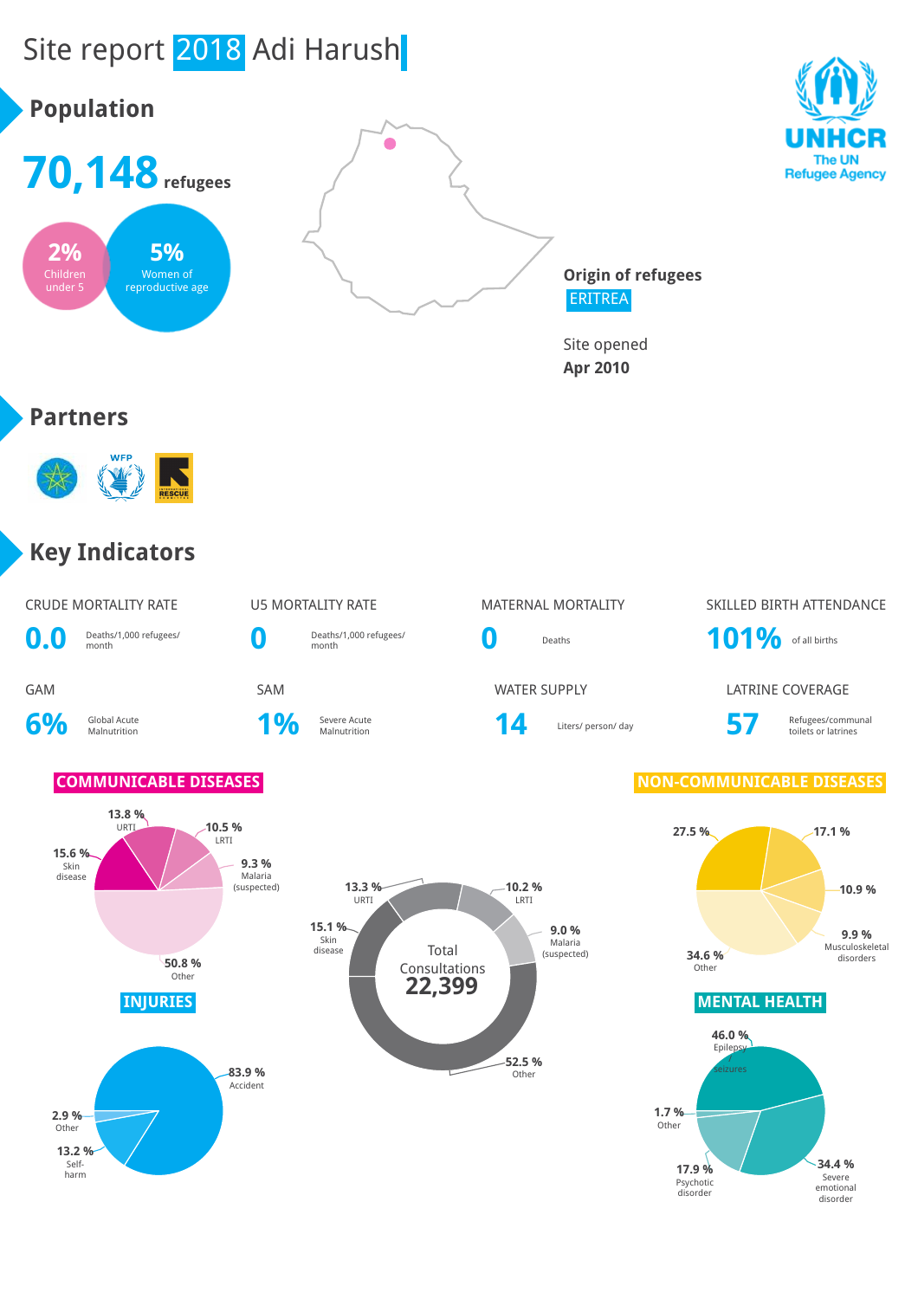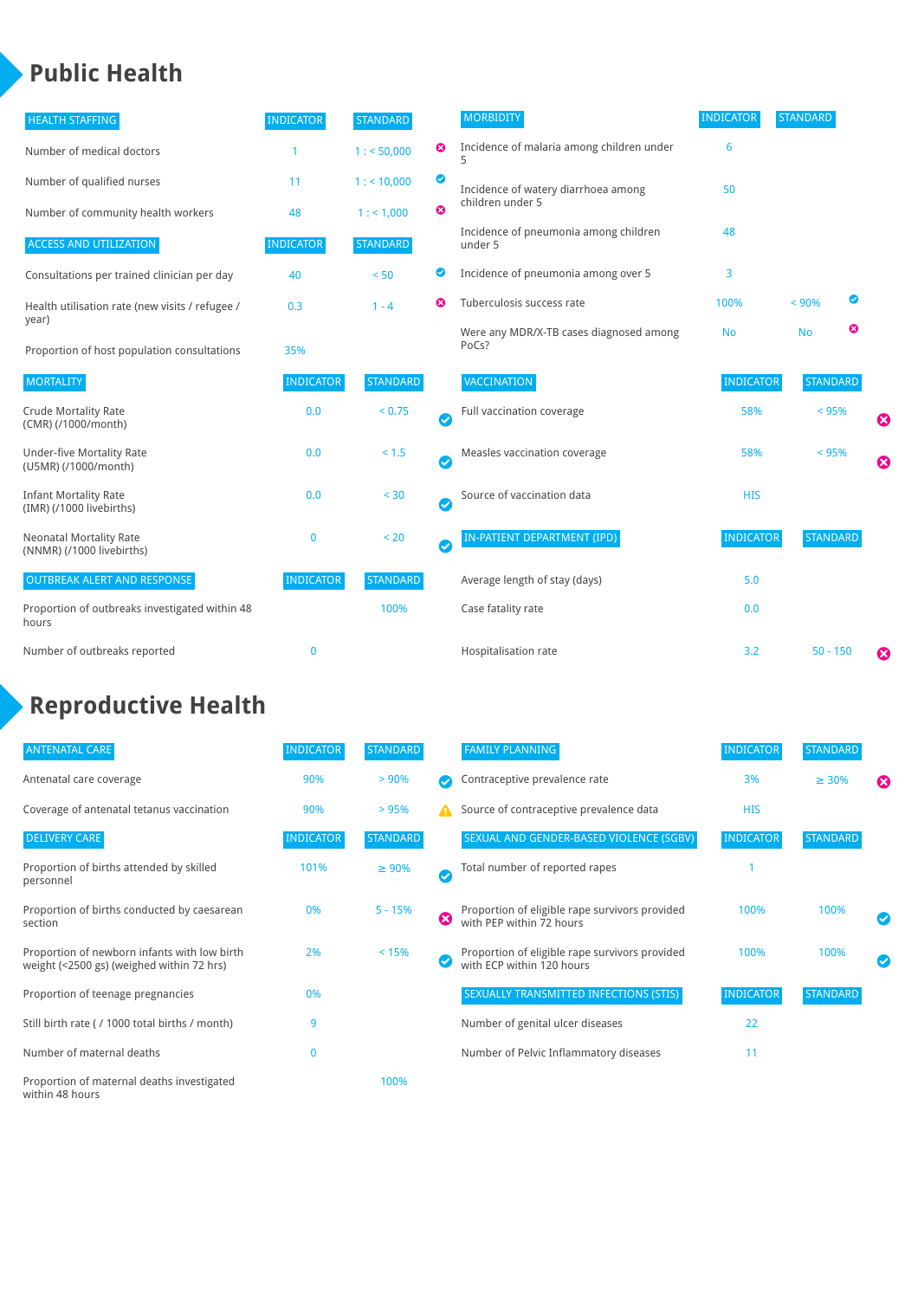### **Public Health**

| <b>HEALTH STAFFING</b>                                      | <b>INDICATOR</b> | <b>STANDARD</b> |           | <b>MORBIDITY</b>                                 | <b>INDICATOR</b> | <b>STANDARD</b> |   |
|-------------------------------------------------------------|------------------|-----------------|-----------|--------------------------------------------------|------------------|-----------------|---|
| Number of medical doctors                                   |                  | 1: 50,000       | ☺         | Incidence of malaria among children under        | 6                |                 |   |
| Number of qualified nurses                                  | 11               | 1:10,000        | ◙         | Incidence of watery diarrhoea among              | 50               |                 |   |
| Number of community health workers                          | 48               | 1: 1,000        | ☎         | children under 5                                 |                  |                 |   |
| <b>ACCESS AND UTILIZATION</b>                               | <b>INDICATOR</b> | <b>STANDARD</b> |           | Incidence of pneumonia among children<br>under 5 | 48               |                 |   |
| Consultations per trained clinician per day                 | 40               | < 50            | ◙         | Incidence of pneumonia among over 5              | 3                |                 |   |
| Health utilisation rate (new visits / refugee /             | 0.3              | $1 - 4$         | ೞ         | Tuberculosis success rate                        | 100%             | < 90%           | ◙ |
| year)<br>Proportion of host population consultations        | 35%              |                 |           | Were any MDR/X-TB cases diagnosed among<br>PoCs? | <b>No</b>        | <b>No</b>       | ☺ |
| <b>MORTALITY</b>                                            | <b>INDICATOR</b> | <b>STANDARD</b> |           | VACCINATION                                      | <b>INDICATOR</b> | <b>STANDARD</b> |   |
| <b>Crude Mortality Rate</b><br>(CMR) (/1000/month)          | 0.0              | < 0.75          | $\bullet$ | Full vaccination coverage                        | 58%              | $< 95\%$        | Ø |
| <b>Under-five Mortality Rate</b><br>(U5MR) (/1000/month)    | 0.0              | < 1.5           | Ø         | Measles vaccination coverage                     | 58%              | < 95%           | 0 |
| <b>Infant Mortality Rate</b><br>(IMR) (/1000 livebirths)    | 0.0              | < 30            | $\bullet$ | Source of vaccination data                       | <b>HIS</b>       |                 |   |
| <b>Neonatal Mortality Rate</b><br>(NNMR) (/1000 livebirths) | $\mathbf{0}$     | < 20            | $\bullet$ | <b>IN-PATIENT DEPARTMENT (IPD)</b>               | <b>INDICATOR</b> | <b>STANDARD</b> |   |
| <b>OUTBREAK ALERT AND RESPONSE</b>                          | <b>INDICATOR</b> | <b>STANDARD</b> |           | Average length of stay (days)                    | 5.0              |                 |   |
| Proportion of outbreaks investigated within 48<br>hours     |                  | 100%            |           | Case fatality rate                               | 0.0              |                 |   |
| Number of outbreaks reported                                | $\mathbf 0$      |                 |           | Hospitalisation rate                             | 3.2              | $50 - 150$      | Ø |

# **Reproductive Health**

| <b>ANTENATAL CARE</b>                                                                     | <b>INDICATOR</b> | <b>STANDARD</b> |              | <b>FAMILY PLANNING</b>                                                      | <b>INDICATOR</b> | <b>STANDARD</b> |                       |
|-------------------------------------------------------------------------------------------|------------------|-----------------|--------------|-----------------------------------------------------------------------------|------------------|-----------------|-----------------------|
| Antenatal care coverage                                                                   | 90%              | $> 90\%$        |              | Contraceptive prevalence rate                                               | 3%               | $\geq 30\%$     | $\boldsymbol{\omega}$ |
| Coverage of antenatal tetanus vaccination                                                 | 90%              | >95%            | А            | Source of contraceptive prevalence data                                     | <b>HIS</b>       |                 |                       |
| <b>DELIVERY CARE</b>                                                                      | <b>INDICATOR</b> | <b>STANDARD</b> |              | SEXUAL AND GENDER-BASED VIOLENCE (SGBV)                                     | <b>INDICATOR</b> | <b>STANDARD</b> |                       |
| Proportion of births attended by skilled<br>personnel                                     | 101%             | $\geq 90\%$     | $\checkmark$ | Total number of reported rapes                                              |                  |                 |                       |
| Proportion of births conducted by caesarean<br>section                                    | 0%               | $5 - 15%$       | Ø            | Proportion of eligible rape survivors provided<br>with PEP within 72 hours  | 100%             | 100%            |                       |
| Proportion of newborn infants with low birth<br>weight (<2500 gs) (weighed within 72 hrs) | 2%               | < 15%           |              | Proportion of eligible rape survivors provided<br>with ECP within 120 hours | 100%             | 100%            |                       |
| Proportion of teenage pregnancies                                                         | 0%               |                 |              | SEXUALLY TRANSMITTED INFECTIONS (STIS)                                      | <b>INDICATOR</b> | <b>STANDARD</b> |                       |
| Still birth rate (/1000 total births / month)                                             | 9                |                 |              | Number of genital ulcer diseases                                            | 22               |                 |                       |
| Number of maternal deaths                                                                 | $\mathbf 0$      |                 |              | Number of Pelvic Inflammatory diseases                                      | 11               |                 |                       |
| Proportion of maternal deaths investigated<br>within 48 hours                             |                  | 100%            |              |                                                                             |                  |                 |                       |